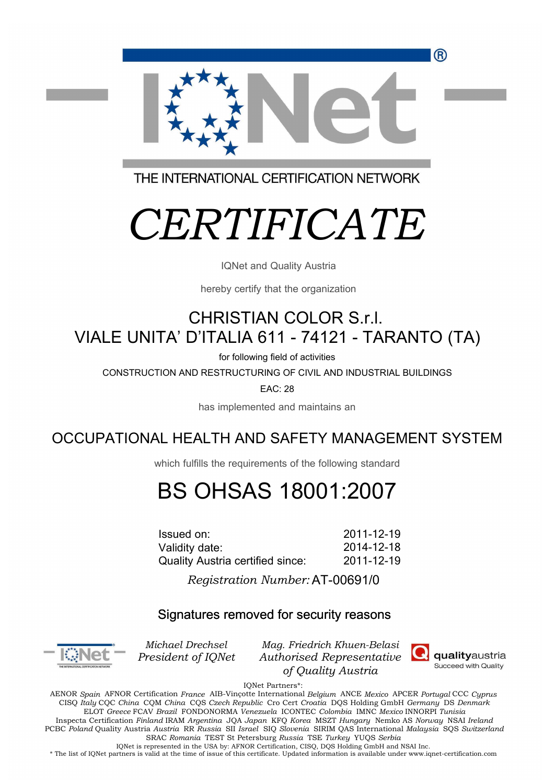R)



THE INTERNATIONAL CERTIFICATION NETWORK

# *CERTIFICATE*

IQNet and Quality Austria

hereby certify that the organization

## CHRISTIAN COLOR S.r.l. VIALE UNITA' D'ITALIA 611 - 74121 - TARANTO (TA)

for following field of activities

CONSTRUCTION AND RESTRUCTURING OF CIVIL AND INDUSTRIAL BUILDINGS

EAC: 28

has implemented and maintains an

### OCCUPATIONAL HEALTH AND SAFETY MANAGEMENT SYSTEM

which fulfills the requirements of the following standard

## BS OHSAS 18001:2007

2011-12-19 2014-12-18 Issued on: Validity date: Quality Austria certified since: 2011-12-19

 $\overline{\phantom{0}}$ AT-00691/0 *Registration Number:* 

#### Signatures removed for security reasons



*Michael Drechsel President of IQNet*

*Mag. Friedrich Khuen-Belasi Authorised Representative of Quality Austria*



IQNet Partners\*:

AENOR *Spain* AFNOR Certification *France* AIB-Vinçotte International *Belgium* ANCE *Mexico* APCER *Portugal* CCC *Cyprus* CISQ *Italy* CQC *China* CQM *China* CQS *Czech Republic* Cro Cert *Croatia* DQS Holding GmbH *Germany* DS *Denmark*  ELOT *Greece* FCAV *Brazil* FONDONORMA *Venezuela* ICONTEC *Colombia* IMNC *Mexico* INNORPI *Tunisia*  Inspecta Certification *Finland* IRAM *Argentina* JQA *Japan* KFQ *Korea* MSZT *Hungary* Nemko AS *Norway* NSAI *Ireland* PCBC *Poland* Quality Austria *Austria* RR *Russia* SII *Israel* SIQ *Slovenia* SIRIM QAS International *Malaysia* SQS *Switzerland*  SRAC *Romania* TEST St Petersburg *Russia* TSE *Turkey* YUQS *Serbia* IQNet is represented in the USA by: AFNOR Certification, CISQ, DQS Holding GmbH and NSAI Inc.

\* The list of IQNet partners is valid at the time of issue of this certificate. Updated information is available under www.iqnet-certification.com